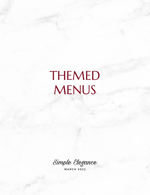# THEMED MENUS

Simple Elegance

M A R C H 2 0 2 2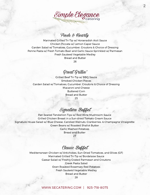

## Fresh & Hearty

Marinated Grilled Tri-Tip w/ Horseradish Aioli Sauce Chicken Piccata w/ Lemon Caper Sauce Garden Salad w/ Tomatoes, Cucumber, Croutons & Choice of Dressing Penne Pasta w/ Fresh Tomato Basil and Garlic Sauce Sprinkled w/ Parmesan Fresh Sauteed Vegetable Medley Bread and Butter 26

Great Grillin'

Grilled Beef Tri-Tip w/ BBQ Sauce Smoked Chicken Pieces Garden Salad w/ Tomatoes, Cucumber, Croutons & Choice of Dressing Macaroni and Cheese Buttered Corn Bread and Butter 25

Signature Buffet

Pan Seared Tenderloin Tips w/ Red Wine Mushroom Sauce Grilled Chicken Breast in a Sun-dried Tomato Cream Sauce Signature House Salad w/ Blue Cheese, Candied Walnuts, Cranberries, & Champagne Vinaigrette Green Beans w/ Roasted Shallot Butter Garlic Mashed Potatoes Bread and Butter 27

## Classic Buffet

Mediterranean Chicken w/ Artichokes, Sun-Dried Tomatoes, and Olives (GF) Marinated Grilled Tri-Tip w/ Bordelaise Sauce Caesar Salad w/ Freshly Grated Parmesan and Croutons Greek Pasta Salad Oven Roasted Rosemary Red Potatoes Fresh Sauteéd Vegetable Medley Bread and Butter

#### [WWW.SECATERING.COM](http://www.secatering.com/) | 925-718-8075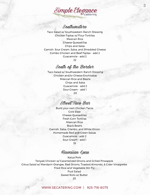

# Southwestern

Taco Salad w/ Southwestern Ranch Dressing Chicken Fajitas w/ Flour Tortillas Mexican Rice Cheese Quesadillas Chips and Salsa Garnish: Sour Cream, Salsa, and Shredded Cheese Combo Chicken and Beef Fajitas - add 2 Guacamole - add 2 22

## South of the Border

Taco Salad w/ Southwestern Ranch Dressing Chicken and/or Cheese Enchiladas Mexican Rice and Beans Chips and Salsa Guacamole - add 2 Sour Cream - add 1 20

Street Taco Bar

Build your own Chicken Tacos Cole Slaw Cheese Quesadillas Fresh Corn Tortillas Mexican Rice Black Beans Garnish: Salsa, Cilantro, and White Onion Homemade Red and Green Salsas Guacamole - add 2 Sour Cream - add 1 19

## Hawaiian Luau

Kalua Pork Teriyaki Chicken w/ Caramelized Onions and Grilled Pineapple Citrus Salad w/ Mandarin Oranges, Red Onions, Toasted Almonds, & Cider Vinaigrette Fried Rice and Vegetable Stir Fry Fruit Salad Sweet Rolls w/ Butter 25

#### [WWW.SECATERING.COM](http://www.secatering.com/) | 925-718-8075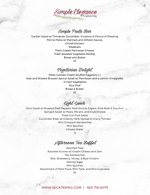

4

## Simple Pasta Bar

Garden Salad w/ Tomatoes, Cucumber, Croutons & Choice of Dressing Penne Pasta w/ Marinara and Alfredo Sauces Grilled Chicken **Meatballs** Fresh Grated Parmesan Cheese Fresh Sautéed Vegetable Medley Bread and Butter 18

## Vegetarian Delight

Pesto Cashew Cream Stuffed Eggplant (+) Kale and Shaved Brussels Sprout Salad w/ Parmesan and a Lemon Vinaigrette Grilled Vegetables Rice Pilaf Bread & Butter 20

Light Lunch

Orzo Salad w/ Roasted Red Peppers, Red Onions, Capers, Pine Nuts & Zucchini Spinach Salad w/ Pears, Pecans, and Goat Cheese Fresh Cut Fruit Salad Cucumber Bites w/ Creamy Herb Spread & Cherry Tomato Mini Croissant Sandwiches Mini Quiches Infused Water 21

Afternoon Tea Buffet

Assorted Teas Assorted Scones w/ Cream Cheese and Jam Tea Sandwiches Brie, Strawberry, Honey, & Basil Crostini Deviled Eggs Mini Quiches Assortment of Petit Fours, Mini Tarts, and Mini Cupcakes 23